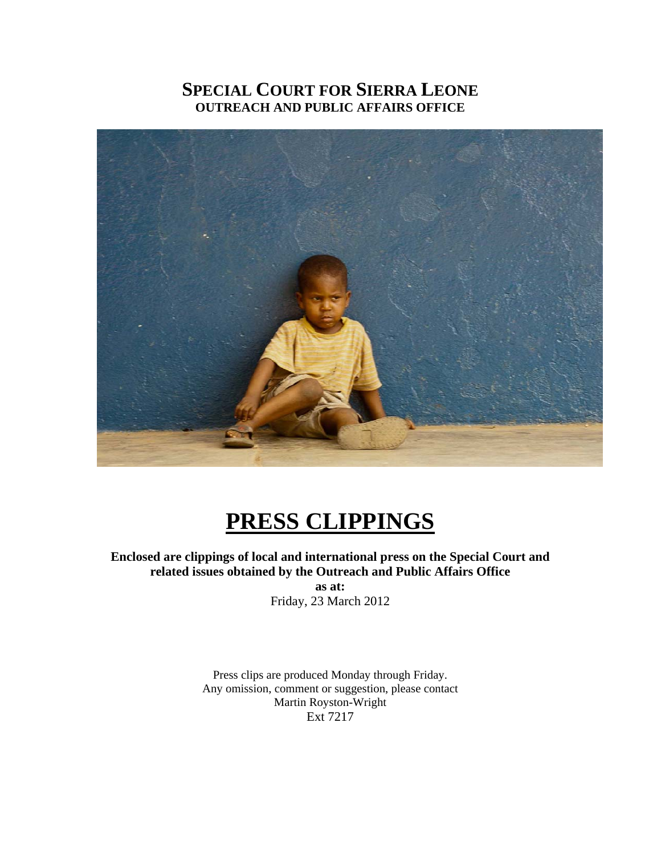# **SPECIAL COURT FOR SIERRA LEONE OUTREACH AND PUBLIC AFFAIRS OFFICE**



# **PRESS CLIPPINGS**

**Enclosed are clippings of local and international press on the Special Court and related issues obtained by the Outreach and Public Affairs Office** 

**as at:**  Friday, 23 March 2012

Press clips are produced Monday through Friday. Any omission, comment or suggestion, please contact Martin Royston-Wright Ext 7217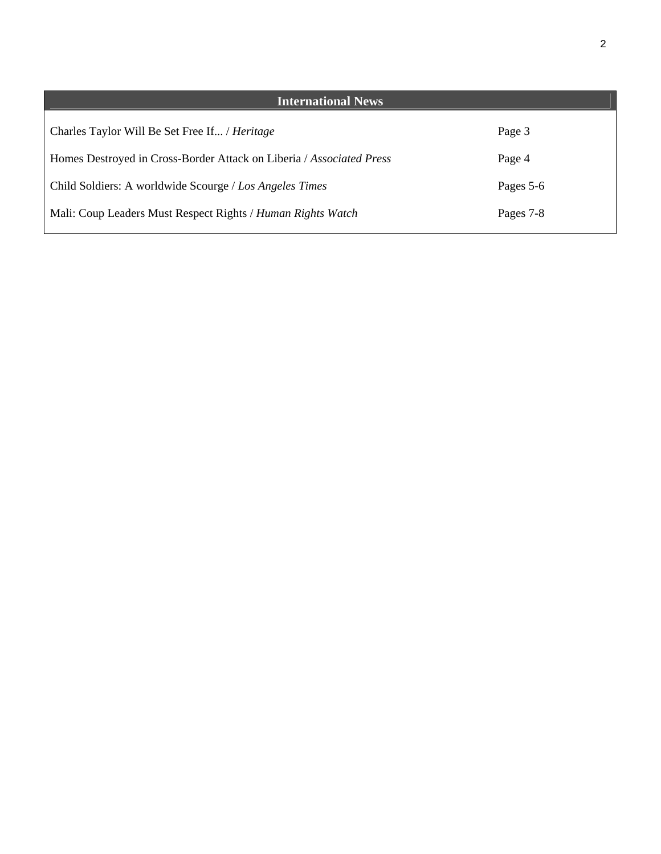| <b>International News</b>                                            |           |
|----------------------------------------------------------------------|-----------|
| Charles Taylor Will Be Set Free If / Heritage                        | Page 3    |
| Homes Destroyed in Cross-Border Attack on Liberia / Associated Press | Page 4    |
| Child Soldiers: A worldwide Scourge / Los Angeles Times              | Pages 5-6 |
| Mali: Coup Leaders Must Respect Rights / Human Rights Watch          | Pages 7-8 |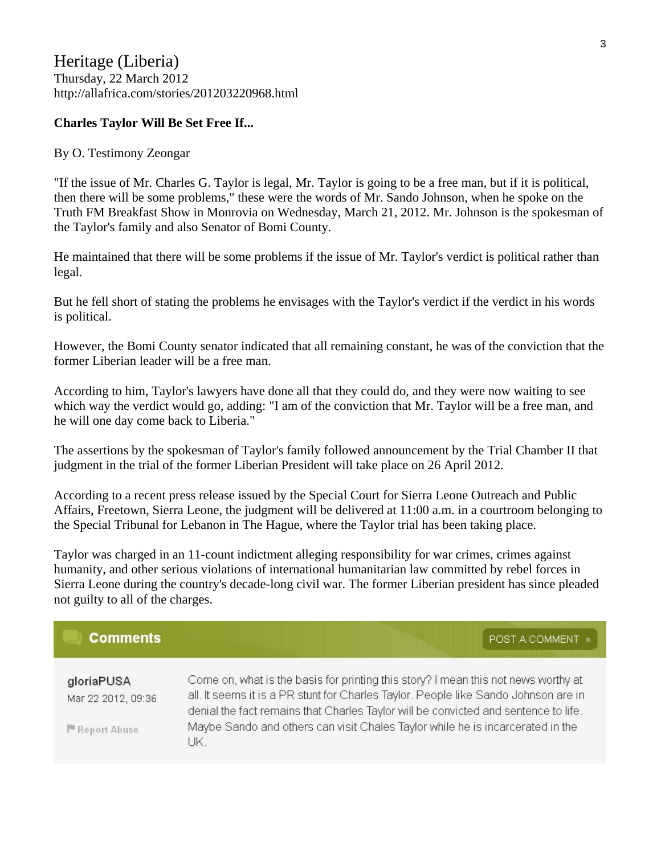Heritage (Liberia) Thursday, 22 March 2012 http://allafrica.com/stories/201203220968.html

#### **Charles Taylor Will Be Set Free If...**

#### By O. Testimony Zeongar

"If the issue of Mr. Charles G. Taylor is legal, Mr. Taylor is going to be a free man, but if it is political, then there will be some problems," these were the words of Mr. Sando Johnson, when he spoke on the Truth FM Breakfast Show in Monrovia on Wednesday, March 21, 2012. Mr. Johnson is the spokesman of the Taylor's family and also Senator of Bomi County.

He maintained that there will be some problems if the issue of Mr. Taylor's verdict is political rather than legal.

But he fell short of stating the problems he envisages with the Taylor's verdict if the verdict in his words is political.

However, the Bomi County senator indicated that all remaining constant, he was of the conviction that the former Liberian leader will be a free man.

According to him, Taylor's lawyers have done all that they could do, and they were now waiting to see which way the verdict would go, adding: "I am of the conviction that Mr. Taylor will be a free man, and he will one day come back to Liberia."

The assertions by the spokesman of Taylor's family followed announcement by the Trial Chamber II that judgment in the trial of the former Liberian President will take place on 26 April 2012.

According to a recent press release issued by the Special Court for Sierra Leone Outreach and Public Affairs, Freetown, Sierra Leone, the judgment will be delivered at 11:00 a.m. in a courtroom belonging to the Special Tribunal for Lebanon in The Hague, where the Taylor trial has been taking place.

Taylor was charged in an 11-count indictment alleging responsibility for war crimes, crimes against humanity, and other serious violations of international humanitarian law committed by rebel forces in Sierra Leone during the country's decade-long civil war. The former Liberian president has since pleaded not guilty to all of the charges.

| <b>Comments</b>       |                                                                                       | POST A COMMENT »                                                                                                                                                           |
|-----------------------|---------------------------------------------------------------------------------------|----------------------------------------------------------------------------------------------------------------------------------------------------------------------------|
| gloriaPUSA            |                                                                                       | Come on, what is the basis for printing this story? I mean this not news worthy at                                                                                         |
| Mar 22 2012, 09:36    |                                                                                       | all. It seems it is a PR stunt for Charles Taylor. People like Sando Johnson are in<br>denial the fact remains that Charles Taylor will be convicted and sentence to life. |
| <b>N</b> Report Abuse | Maybe Sando and others can visit Chales Taylor while he is incarcerated in the<br>UK. |                                                                                                                                                                            |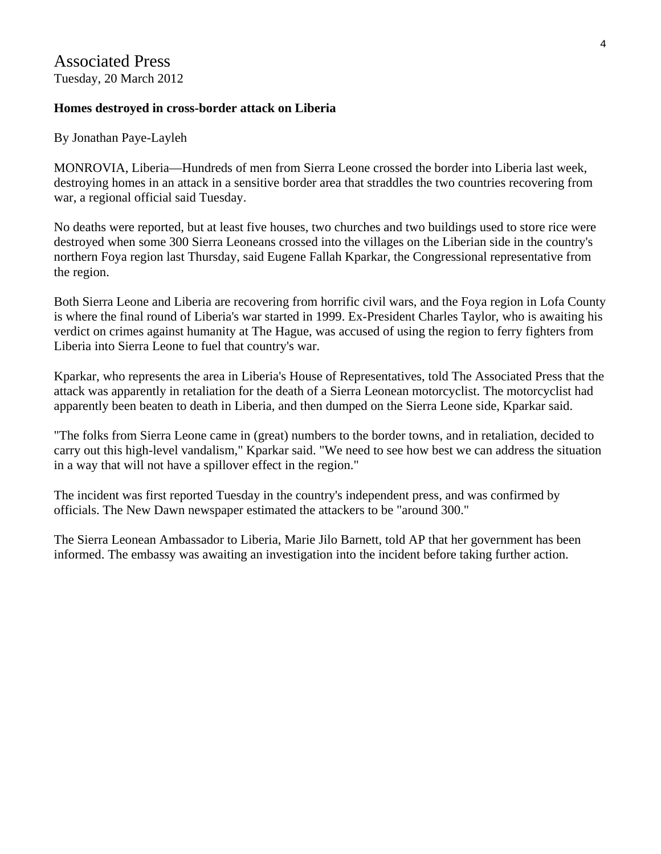## **Homes destroyed in cross-border attack on Liberia**

By Jonathan Paye-Layleh

MONROVIA, Liberia—Hundreds of men from Sierra Leone crossed the border into Liberia last week, destroying homes in an attack in a sensitive border area that straddles the two countries recovering from war, a regional official said Tuesday.

No deaths were reported, but at least five houses, two churches and two buildings used to store rice were destroyed when some 300 Sierra Leoneans crossed into the villages on the Liberian side in the country's northern Foya region last Thursday, said Eugene Fallah Kparkar, the Congressional representative from the region.

Both Sierra Leone and Liberia are recovering from horrific civil wars, and the Foya region in Lofa County is where the final round of Liberia's war started in 1999. Ex-President Charles Taylor, who is awaiting his verdict on crimes against humanity at The Hague, was accused of using the region to ferry fighters from Liberia into Sierra Leone to fuel that country's war.

Kparkar, who represents the area in Liberia's House of Representatives, told The Associated Press that the attack was apparently in retaliation for the death of a Sierra Leonean motorcyclist. The motorcyclist had apparently been beaten to death in Liberia, and then dumped on the Sierra Leone side, Kparkar said.

"The folks from Sierra Leone came in (great) numbers to the border towns, and in retaliation, decided to carry out this high-level vandalism," Kparkar said. "We need to see how best we can address the situation in a way that will not have a spillover effect in the region."

The incident was first reported Tuesday in the country's independent press, and was confirmed by officials. The New Dawn newspaper estimated the attackers to be "around 300."

The Sierra Leonean Ambassador to Liberia, Marie Jilo Barnett, told AP that her government has been informed. The embassy was awaiting an investigation into the incident before taking further action.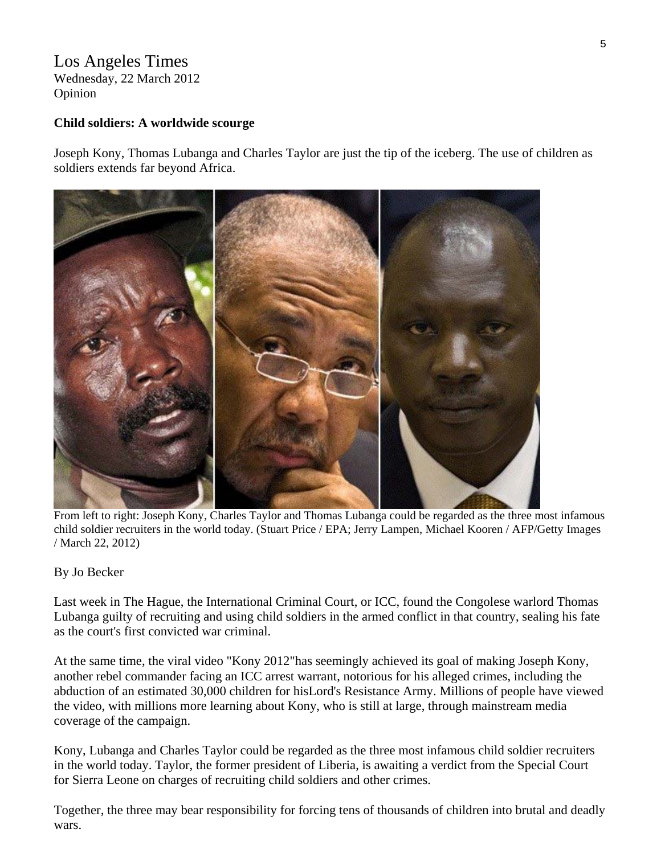# Los Angeles Times Wednesday, 22 March 2012 Opinion

### **Child soldiers: A worldwide scourge**

Joseph Kony, Thomas Lubanga and Charles Taylor are just the tip of the iceberg. The use of children as soldiers extends far beyond Africa.



From left to right: Joseph Kony, Charles Taylor and Thomas Lubanga could be regarded as the three most infamous child soldier recruiters in the world today. (Stuart Price / EPA; Jerry Lampen, Michael Kooren / AFP/Getty Images / March 22, 2012)

#### By Jo Becker

Last week in The Hague, the International Criminal Court, or ICC, found the Congolese warlord Thomas Lubanga guilty of recruiting and using child soldiers in the armed conflict in that country, sealing his fate as the court's first convicted war criminal.

At the same time, the viral video "Kony 2012"has seemingly achieved its goal of making Joseph Kony, another rebel commander facing an ICC arrest warrant, notorious for his alleged crimes, including the abduction of an estimated 30,000 children for hisLord's Resistance Army. Millions of people have viewed the video, with millions more learning about Kony, who is still at large, through mainstream media coverage of the campaign.

Kony, Lubanga and Charles Taylor could be regarded as the three most infamous child soldier recruiters in the world today. Taylor, the former president of Liberia, is awaiting a verdict from the Special Court for Sierra Leone on charges of recruiting child soldiers and other crimes.

Together, the three may bear responsibility for forcing tens of thousands of children into brutal and deadly wars.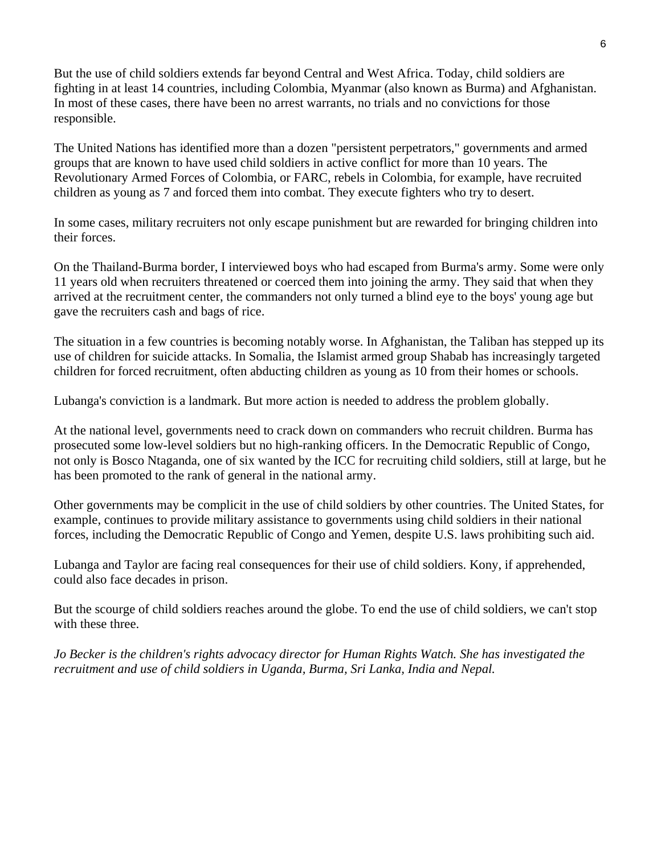But the use of child soldiers extends far beyond Central and West Africa. Today, child soldiers are fighting in at least 14 countries, including Colombia, Myanmar (also known as Burma) and Afghanistan. In most of these cases, there have been no arrest warrants, no trials and no convictions for those responsible.

The United Nations has identified more than a dozen "persistent perpetrators," governments and armed groups that are known to have used child soldiers in active conflict for more than 10 years. The Revolutionary Armed Forces of Colombia, or FARC, rebels in Colombia, for example, have recruited children as young as 7 and forced them into combat. They execute fighters who try to desert.

In some cases, military recruiters not only escape punishment but are rewarded for bringing children into their forces.

On the Thailand-Burma border, I interviewed boys who had escaped from Burma's army. Some were only 11 years old when recruiters threatened or coerced them into joining the army. They said that when they arrived at the recruitment center, the commanders not only turned a blind eye to the boys' young age but gave the recruiters cash and bags of rice.

The situation in a few countries is becoming notably worse. In Afghanistan, the Taliban has stepped up its use of children for suicide attacks. In Somalia, the Islamist armed group Shabab has increasingly targeted children for forced recruitment, often abducting children as young as 10 from their homes or schools.

Lubanga's conviction is a landmark. But more action is needed to address the problem globally.

At the national level, governments need to crack down on commanders who recruit children. Burma has prosecuted some low-level soldiers but no high-ranking officers. In the Democratic Republic of Congo, not only is Bosco Ntaganda, one of six wanted by the ICC for recruiting child soldiers, still at large, but he has been promoted to the rank of general in the national army.

Other governments may be complicit in the use of child soldiers by other countries. The United States, for example, continues to provide military assistance to governments using child soldiers in their national forces, including the Democratic Republic of Congo and Yemen, despite U.S. laws prohibiting such aid.

Lubanga and Taylor are facing real consequences for their use of child soldiers. Kony, if apprehended, could also face decades in prison.

But the scourge of child soldiers reaches around the globe. To end the use of child soldiers, we can't stop with these three.

*Jo Becker is the children's rights advocacy director for Human Rights Watch. She has investigated the recruitment and use of child soldiers in Uganda, Burma, Sri Lanka, India and Nepal.*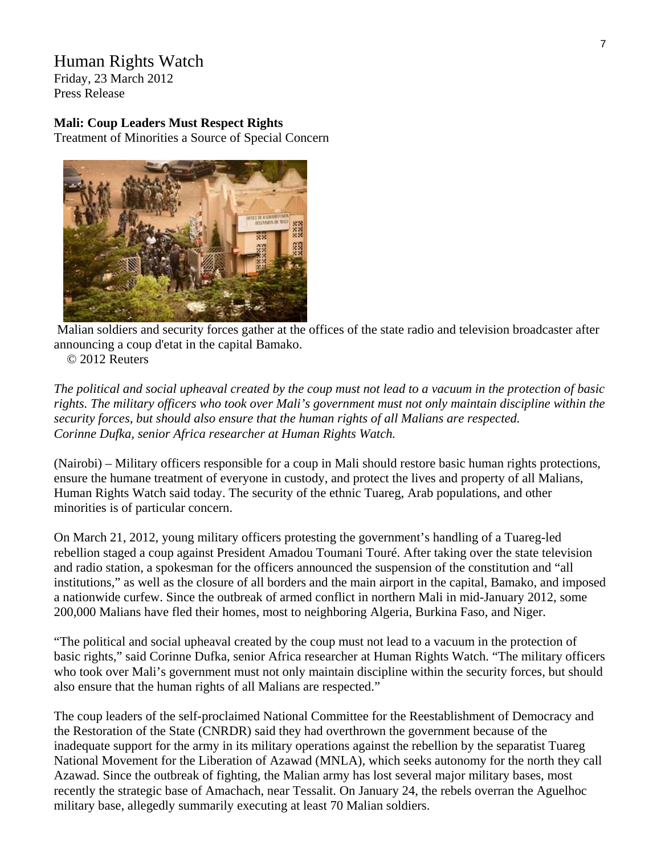# Human Rights Watch

Friday, 23 March 2012 Press Release

#### **Mali: Coup Leaders Must Respect Rights**

Treatment of Minorities a Source of Special Concern



 Malian soldiers and security forces gather at the offices of the state radio and television broadcaster after announcing a coup d'etat in the capital Bamako.

*The political and social upheaval created by the coup must not lead to a vacuum in the protection of basic rights. The military officers who took over Mali's government must not only maintain discipline within the security forces, but should also ensure that the human rights of all Malians are respected. Corinne Dufka, senior Africa researcher at Human Rights Watch.* 

(Nairobi) – Military officers responsible for a coup in Mali should restore basic human rights protections, ensure the humane treatment of everyone in custody, and protect the lives and property of all Malians, Human Rights Watch said today. The security of the ethnic Tuareg, Arab populations, and other minorities is of particular concern.

On March 21, 2012, young military officers protesting the government's handling of a Tuareg-led rebellion staged a coup against President Amadou Toumani Touré. After taking over the state television and radio station, a spokesman for the officers announced the suspension of the constitution and "all institutions," as well as the closure of all borders and the main airport in the capital, Bamako, and imposed a nationwide curfew. Since the outbreak of armed conflict in northern Mali in mid-January 2012, some 200,000 Malians have fled their homes, most to neighboring Algeria, Burkina Faso, and Niger.

"The political and social upheaval created by the coup must not lead to a vacuum in the protection of basic rights," said Corinne Dufka, senior Africa researcher at Human Rights Watch. "The military officers who took over Mali's government must not only maintain discipline within the security forces, but should also ensure that the human rights of all Malians are respected."

The coup leaders of the self-proclaimed National Committee for the Reestablishment of Democracy and the Restoration of the State (CNRDR) said they had overthrown the government because of the inadequate support for the army in its military operations against the rebellion by the separatist Tuareg National Movement for the Liberation of Azawad (MNLA), which seeks autonomy for the north they call Azawad. Since the outbreak of fighting, the Malian army has lost several major military bases, most recently the strategic base of Amachach, near Tessalit. On January 24, the rebels overran the Aguelhoc military base, allegedly summarily executing at least 70 Malian soldiers.

 <sup>© 2012</sup> Reuters